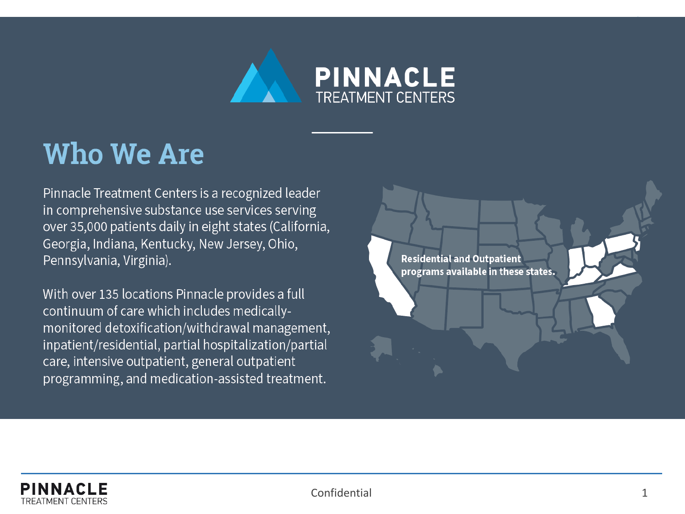

# **Who We Are**

Pinnacle Treatment Centers is a recognized leader in comprehensive substance use services serving over 35,000 patients daily in eight states (California, Georgia, Indiana, Kentucky, New Jersey, Ohio, Pennsylvania, Virginia).

With over 135 locations Pinnacle provides a full continuum of care which includes medicallymonitored detoxification/withdrawal management, inpatient/residential, partial hospitalization/partial care, intensive outpatient, general outpatient programming, and medication-assisted treatment.

**Residential and Outpatient** programs available in these states.

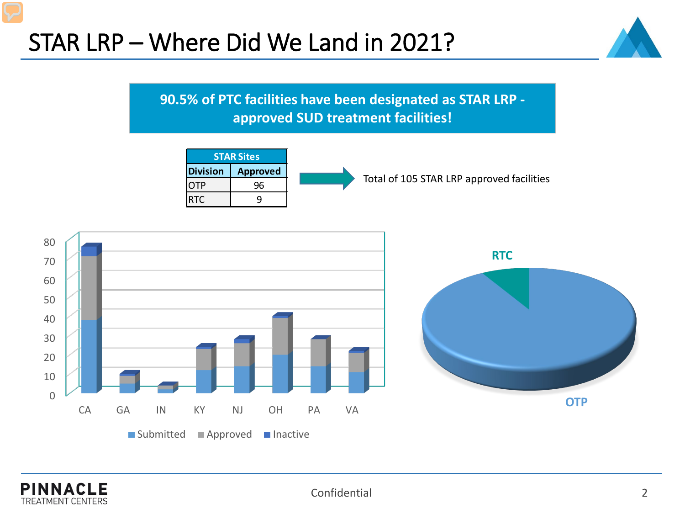## STAR LRP – Where Did We Land in 2021?



**90.5% of PTC facilities have been designated as STAR LRP approved SUD treatment facilities!**





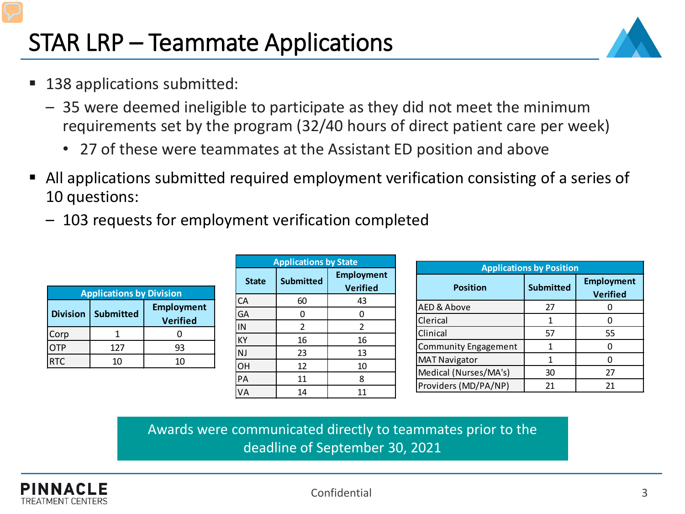# STAR LRP – Teammate Applications

- 138 applications submitted:
	- 35 were deemed ineligible to participate as they did not meet the minimum requirements set by the program (32/40 hours of direct patient care per week)
		- 27 of these were teammates at the Assistant ED position and above
- All applications submitted required employment verification consisting of a series of 10 questions:
	- 103 requests for employment verification completed

| <b>Applications by Division</b> |           |                                      |  |  |
|---------------------------------|-----------|--------------------------------------|--|--|
| <b>Division</b>                 | Submitted | <b>Employment</b><br><b>Verified</b> |  |  |
| Corp                            |           |                                      |  |  |
| OTP                             | 127       | 93                                   |  |  |
| <b>RTC</b>                      | 10        | 10                                   |  |  |

| <b>Applications by State</b> |                  |                                      |  |  |
|------------------------------|------------------|--------------------------------------|--|--|
| <b>State</b>                 | <b>Submitted</b> | <b>Employment</b><br><b>Verified</b> |  |  |
| CA                           | 60               | 43                                   |  |  |
| GA                           | 0                |                                      |  |  |
| IN                           | $\overline{2}$   | 2                                    |  |  |
| KΥ                           | 16               | 16                                   |  |  |
| NJ                           | 23               | 13                                   |  |  |
| OH                           | 12               | 10                                   |  |  |
| PA                           | 11               | 8                                    |  |  |
| VA                           | 14               | 11                                   |  |  |

| <b>Applications by Position</b> |                  |                                      |  |  |
|---------------------------------|------------------|--------------------------------------|--|--|
| <b>Position</b>                 | <b>Submitted</b> | <b>Employment</b><br><b>Verified</b> |  |  |
| AED & Above                     | 27               |                                      |  |  |
| Clerical                        |                  |                                      |  |  |
| Clinical                        | 57               | 55                                   |  |  |
| <b>Community Engagement</b>     | 1                |                                      |  |  |
| <b>MAT Navigator</b>            | 1                |                                      |  |  |
| Medical (Nurses/MA's)           | 30               | 27                                   |  |  |
| Providers (MD/PA/NP)            | 21               | 21                                   |  |  |

Awards were communicated directly to teammates prior to the deadline of September 30, 2021

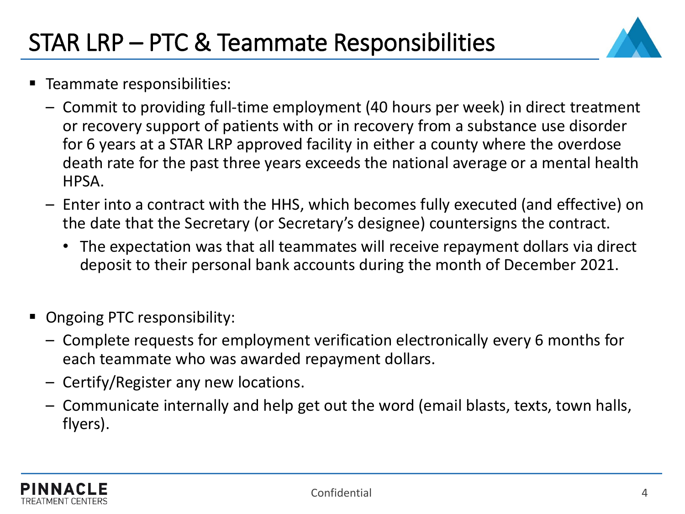

- **Teammate responsibilities:** 
	- Commit to providing full-time employment (40 hours per week) in direct treatment or recovery support of patients with or in recovery from a substance use disorder for 6 years at a STAR LRP approved facility in either a county where the overdose death rate for the past three years exceeds the national average or a mental health HPSA.
	- Enter into a contract with the HHS, which becomes fully executed (and effective) on the date that the Secretary (or Secretary's designee) countersigns the contract.
		- The expectation was that all teammates will receive repayment dollars via direct deposit to their personal bank accounts during the month of December 2021.
- **Ongoing PTC responsibility:** 
	- Complete requests for employment verification electronically every 6 months for each teammate who was awarded repayment dollars.
	- Certify/Register any new locations.
	- Communicate internally and help get out the word (email blasts, texts, town halls, flyers).